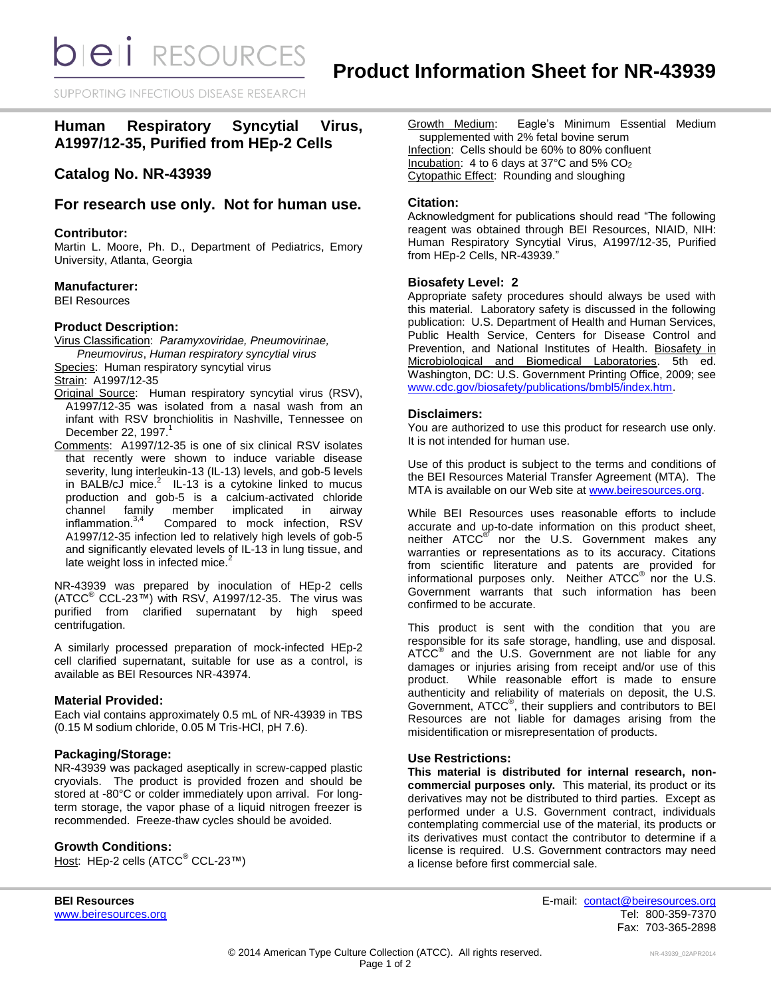**bieli** RESOURCES

SUPPORTING INFECTIOUS DISEASE RESEARD

# **Human Respiratory Syncytial Virus, A1997/12-35, Purified from HEp-2 Cells**

## **Catalog No. NR-43939**

### **For research use only. Not for human use.**

### **Contributor:**

Martin L. Moore, Ph. D., Department of Pediatrics, Emory University, Atlanta, Georgia

### **Manufacturer:**

BEI Resources

### **Product Description:**

Virus Classification: *Paramyxoviridae, Pneumovirinae, Pneumovirus*, *Human respiratory syncytial virus*

Species: Human respiratory syncytial virus

Strain: A1997/12-35

- Original Source: Human respiratory syncytial virus (RSV), A1997/12-35 was isolated from a nasal wash from an infant with RSV bronchiolitis in Nashville, Tennessee on December 22, 1997. 1
- Comments: A1997/12-35 is one of six clinical RSV isolates that recently were shown to induce variable disease severity, lung interleukin-13 (IL-13) levels, and gob-5 levels in BALB/cJ mice. $^2$  IL-13 is a cytokine linked to mucus production and gob-5 is a calcium-activated chloride channel family member implicated in airway inflammation.<sup>3,4</sup> Compared to mock infection, RSV A1997/12-35 infection led to relatively high levels of gob-5 and significantly elevated levels of IL-13 in lung tissue, and late weight loss in infected mice.<sup>2</sup>

NR-43939 was prepared by inoculation of HEp-2 cells (ATCC® CCL-23™) with RSV, A1997/12-35. The virus was purified from clarified supernatant by high speed centrifugation.

A similarly processed preparation of mock-infected HEp-2 cell clarified supernatant, suitable for use as a control, is available as BEI Resources NR-43974.

### **Material Provided:**

Each vial contains approximately 0.5 mL of NR-43939 in TBS (0.15 M sodium chloride, 0.05 M Tris-HCl, pH 7.6).

### **Packaging/Storage:**

NR-43939 was packaged aseptically in screw-capped plastic cryovials. The product is provided frozen and should be stored at -80°C or colder immediately upon arrival. For longterm storage, the vapor phase of a liquid nitrogen freezer is recommended. Freeze-thaw cycles should be avoided.

### **Growth Conditions:**

Host: HEp-2 cells (ATCC® CCL-23™)

Growth Medium: Eagle's Minimum Essential Medium supplemented with 2% fetal bovine serum Infection: Cells should be 60% to 80% confluent Incubation: 4 to 6 days at  $37^{\circ}$ C and  $5\%$  CO<sub>2</sub> Cytopathic Effect: Rounding and sloughing

### **Citation:**

Acknowledgment for publications should read "The following reagent was obtained through BEI Resources, NIAID, NIH: Human Respiratory Syncytial Virus, A1997/12-35, Purified from HEp-2 Cells, NR-43939."

### **Biosafety Level: 2**

Appropriate safety procedures should always be used with this material. Laboratory safety is discussed in the following publication: U.S. Department of Health and Human Services, Public Health Service, Centers for Disease Control and Prevention, and National Institutes of Health. Biosafety in Microbiological and Biomedical Laboratories. 5th ed. Washington, DC: U.S. Government Printing Office, 2009; see [www.cdc.gov/biosafety/publications/bmbl5/index.htm.](http://www.cdc.gov/biosafety/publications/bmbl5/index.htm)

### **Disclaimers:**

You are authorized to use this product for research use only. It is not intended for human use.

Use of this product is subject to the terms and conditions of the BEI Resources Material Transfer Agreement (MTA). The MTA is available on our Web site at [www.beiresources.org.](http://www.beiresources.org/)

While BEI Resources uses reasonable efforts to include accurate and up-to-date information on this product sheet, neither ATCC<sup>®</sup> nor the U.S. Government makes any warranties or representations as to its accuracy. Citations from scientific literature and patents are provided for informational purposes only. Neither  $ATCC^{\circledast}$  nor the U.S. Government warrants that such information has been confirmed to be accurate.

This product is sent with the condition that you are responsible for its safe storage, handling, use and disposal. ATCC<sup>®</sup> and the U.S. Government are not liable for any damages or injuries arising from receipt and/or use of this product. While reasonable effort is made to ensure authenticity and reliability of materials on deposit, the U.S. Government, ATCC® , their suppliers and contributors to BEI Resources are not liable for damages arising from the misidentification or misrepresentation of products.

### **Use Restrictions:**

**This material is distributed for internal research, noncommercial purposes only.** This material, its product or its derivatives may not be distributed to third parties. Except as performed under a U.S. Government contract, individuals contemplating commercial use of the material, its products or its derivatives must contact the contributor to determine if a license is required. U.S. Government contractors may need a license before first commercial sale.

**BEI Resources** E-mail: [contact@beiresources.org](mailto:contact@beiresources.org) [www.beiresources.org](http://www.beiresources.org/) **Tel: 800-359-7370** Fax: 703-365-2898